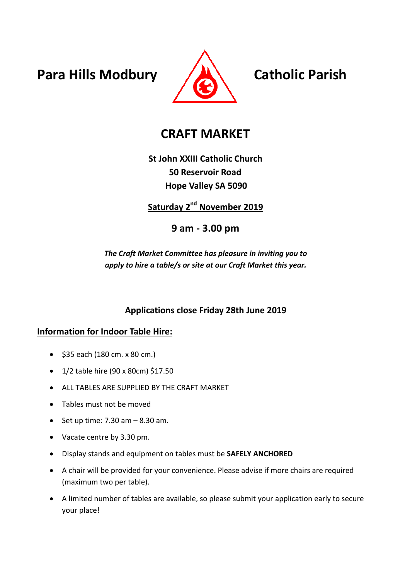Para Hills Modbury **All Catholic Parish** 



# **CRAFT MARKET**

**St John XXIII Catholic Church 50 Reservoir Road Hope Valley SA 5090**

**Saturday 2nd November 2019**

**9 am - 3.00 pm**

*The Craft Market Committee has pleasure in inviting you to apply to hire a table/s or site at our Craft Market this year.*

## **Applications close Friday 28th June 2019**

## **Information for Indoor Table Hire:**

- $\bullet$  \$35 each (180 cm. x 80 cm.)
- $\bullet$  1/2 table hire (90 x 80cm) \$17.50
- ALL TABLES ARE SUPPLIED BY THE CRAFT MARKET
- Tables must not be moved
- $\bullet$  Set up time: 7.30 am  $-$  8.30 am.
- Vacate centre by 3.30 pm.
- Display stands and equipment on tables must be **SAFELY ANCHORED**
- A chair will be provided for your convenience. Please advise if more chairs are required (maximum two per table).
- A limited number of tables are available, so please submit your application early to secure your place!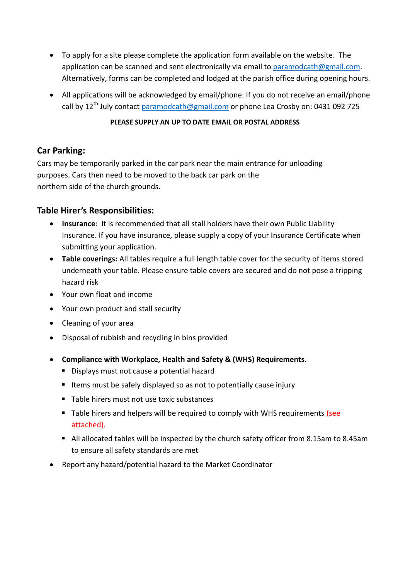- To apply for a site please complete the application form available on the website. The application can be scanned and sent electronically via email to [paramodcath@gmail.com.](mailto:paramodcath@gmail.com) Alternatively, forms can be completed and lodged at the parish office during opening hours.
- All applications will be acknowledged by email/phone. If you do not receive an email/phone call by 12<sup>th</sup> July contact [paramodcath@gmail.com](mailto:paramodcath@gmail.com) or phone Lea Crosby on: 0431 092 725

#### **PLEASE SUPPLY AN UP TO DATE EMAIL OR POSTAL ADDRESS**

## **Car Parking:**

Cars may be temporarily parked in the car park near the main entrance for unloading purposes. Cars then need to be moved to the back car park on the northern side of the church grounds.

### **Table Hirer's Responsibilities:**

- **Insurance**: It is recommended that all stall holders have their own Public Liability Insurance. If you have insurance, please supply a copy of your Insurance Certificate when submitting your application.
- **Table coverings:** All tables require a full length table cover for the security of items stored underneath your table. Please ensure table covers are secured and do not pose a tripping hazard risk
- Your own float and income
- Your own product and stall security
- Cleaning of your area
- Disposal of rubbish and recycling in bins provided
- **Compliance with Workplace, Health and Safety & (WHS) Requirements.**
	- Displays must not cause a potential hazard
	- Items must be safely displayed so as not to potentially cause injury
	- Table hirers must not use toxic substances
	- Table hirers and helpers will be required to comply with WHS requirements (see attached).
	- All allocated tables will be inspected by the church safety officer from 8.15am to 8.45am to ensure all safety standards are met
- Report any hazard/potential hazard to the Market Coordinator